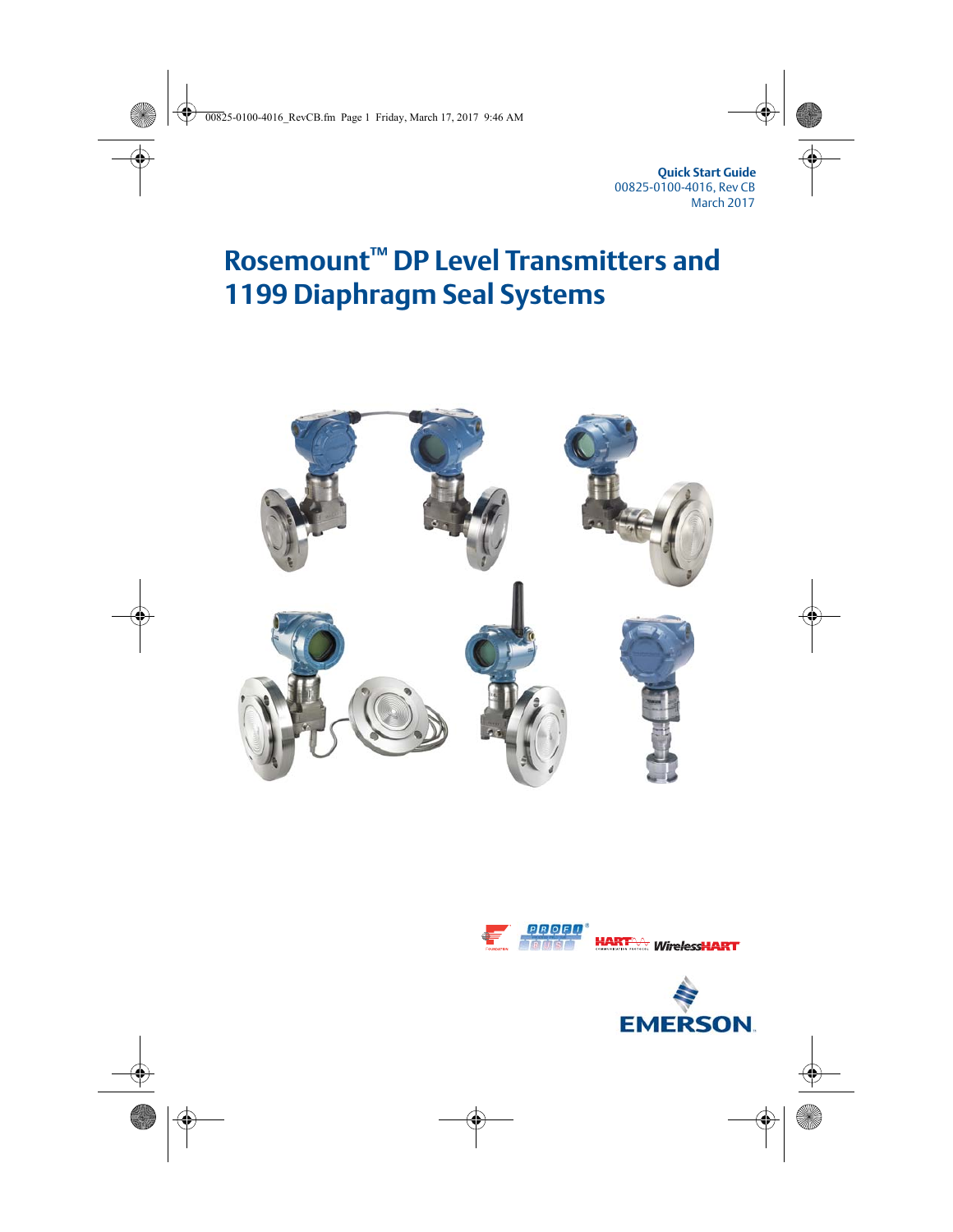**Quick Start Guide** 00825-0100-4016, Rev CB March 2017

# **Rosemount™ DP Level Transmitters and 1199 Diaphragm Seal Systems**





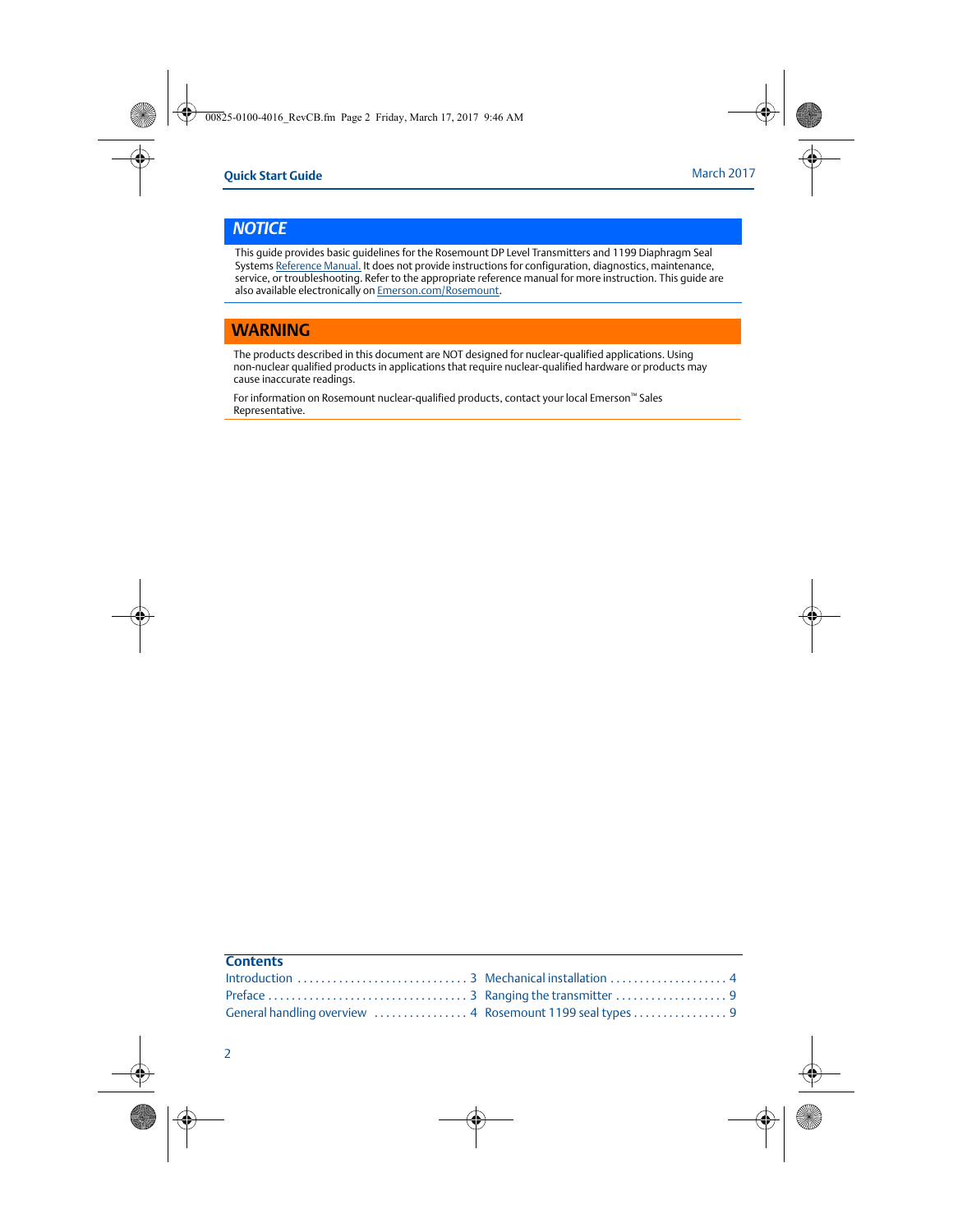### *NOTICE*

This guide provides basic guidelines for the Rosemount DP Level Transmitters and 1199 Diaphragm Seal Systems [Reference Manual.](http://www2.emersonprocess.com/siteadmincenter/PM%20Rosemount%20Documents/00809-0100-4002.pdf) It does not provide instructions for configuration, diagnostics, maintenance, service, or troubleshooting. Refer to the appropriate reference manual for more instruction. This guide are also available electronically on **Emerson.com/Rosemount**.

#### **WARNING**

The products described in this document are NOT designed for nuclear-qualified applications. Using non-nuclear qualified products in applications that require nuclear-qualified hardware or products may cause inaccurate readings.

For information on Rosemount nuclear-qualified products, contact your local Emerson™ Sales Representative.

| <b>Contents</b> |  |
|-----------------|--|
|                 |  |
|                 |  |
|                 |  |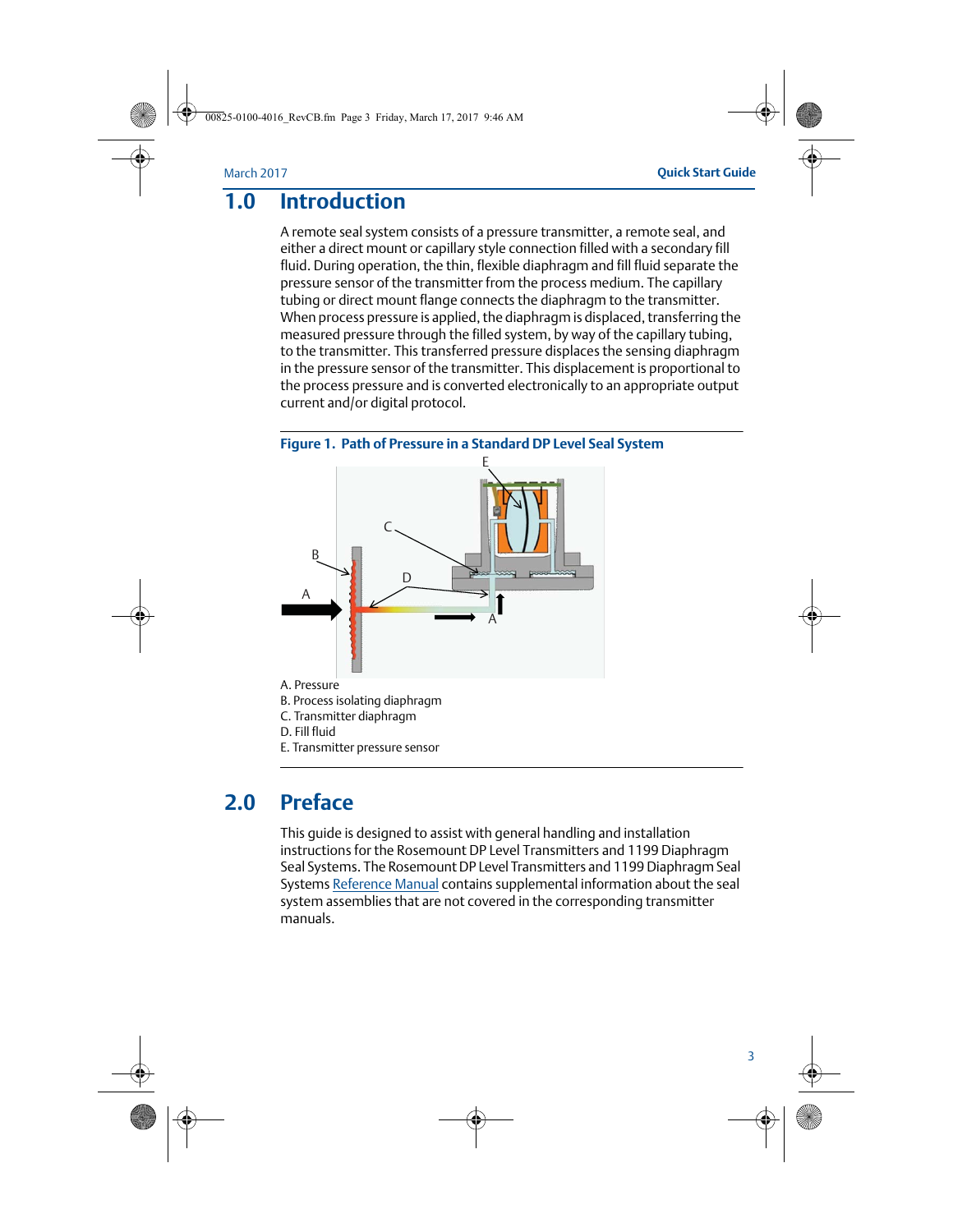## <span id="page-2-0"></span>**1.0 Introduction**

A remote seal system consists of a pressure transmitter, a remote seal, and either a direct mount or capillary style connection filled with a secondary fill fluid. During operation, the thin, flexible diaphragm and fill fluid separate the pressure sensor of the transmitter from the process medium. The capillary tubing or direct mount flange connects the diaphragm to the transmitter. When process pressure is applied, the diaphragm is displaced, transferring the measured pressure through the filled system, by way of the capillary tubing, to the transmitter. This transferred pressure displaces the sensing diaphragm in the pressure sensor of the transmitter. This displacement is proportional to the process pressure and is converted electronically to an appropriate output current and/or digital protocol.





## <span id="page-2-1"></span>**2.0 Preface**

This guide is designed to assist with general handling and installation instructions for the Rosemount DP Level Transmitters and 1199 Diaphragm Seal Systems. The Rosemount DP Level Transmitters and 1199 Diaphragm Seal Systems [Reference Manual](http://www2.emersonprocess.com/siteadmincenter/PM%20Rosemount%20Documents/00809-0100-4002.pdf) contains supplemental information about the seal system assemblies that are not covered in the corresponding transmitter manuals.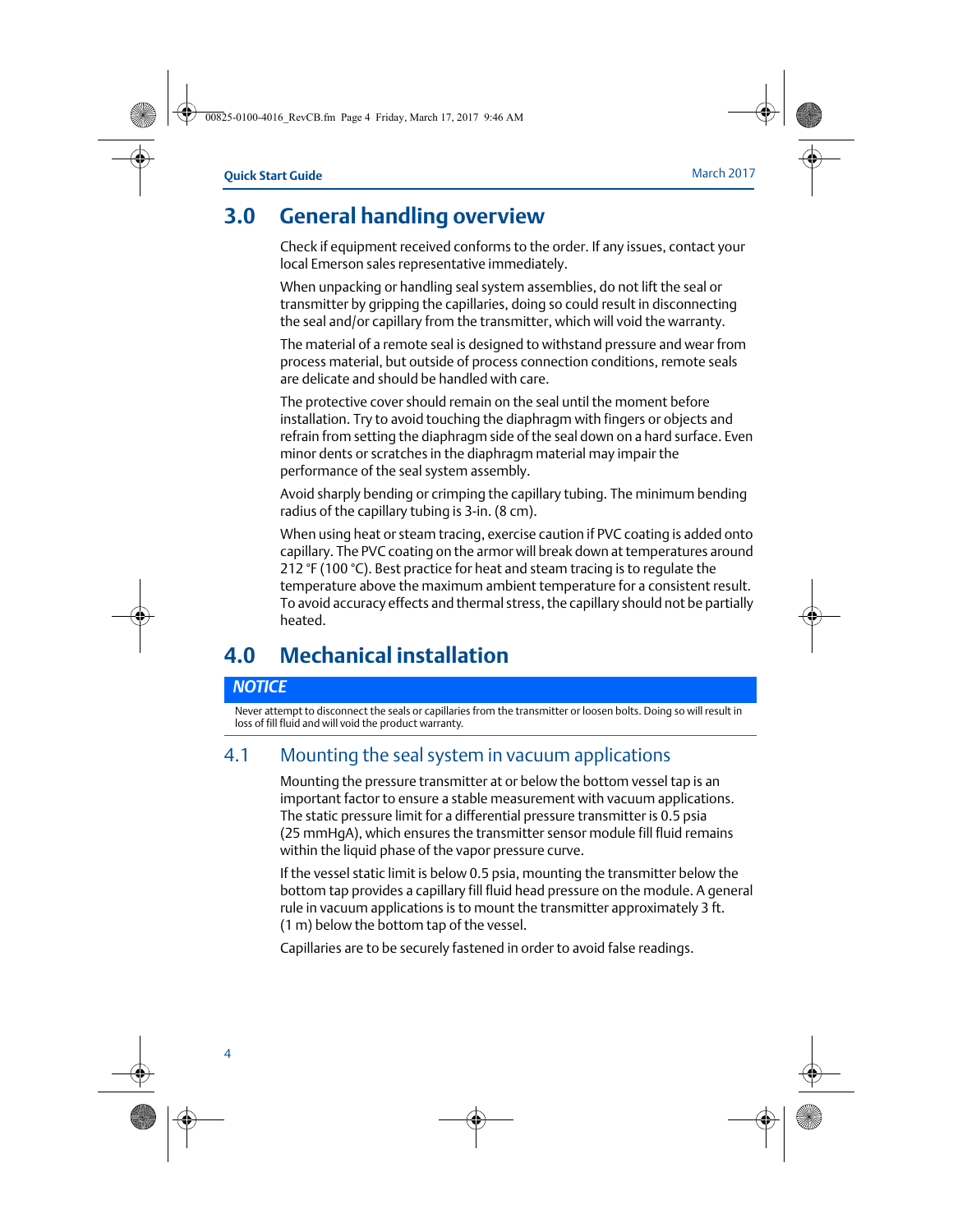## <span id="page-3-0"></span>**3.0 General handling overview**

Check if equipment received conforms to the order. If any issues, contact your local Emerson sales representative immediately.

When unpacking or handling seal system assemblies, do not lift the seal or transmitter by gripping the capillaries, doing so could result in disconnecting the seal and/or capillary from the transmitter, which will void the warranty.

The material of a remote seal is designed to withstand pressure and wear from process material, but outside of process connection conditions, remote seals are delicate and should be handled with care.

The protective cover should remain on the seal until the moment before installation. Try to avoid touching the diaphragm with fingers or objects and refrain from setting the diaphragm side of the seal down on a hard surface. Even minor dents or scratches in the diaphragm material may impair the performance of the seal system assembly.

Avoid sharply bending or crimping the capillary tubing. The minimum bending radius of the capillary tubing is 3-in. (8 cm).

When using heat or steam tracing, exercise caution if PVC coating is added onto capillary. The PVC coating on the armor will break down at temperatures around 212 °F (100 °C). Best practice for heat and steam tracing is to regulate the temperature above the maximum ambient temperature for a consistent result. To avoid accuracy effects and thermal stress, the capillary should not be partially heated.

## <span id="page-3-1"></span>**4.0 Mechanical installation**

#### *NOTICE*

Never attempt to disconnect the seals or capillaries from the transmitter or loosen bolts. Doing so will result in loss of fill fluid and will void the product warranty.

### 4.1 Mounting the seal system in vacuum applications

Mounting the pressure transmitter at or below the bottom vessel tap is an important factor to ensure a stable measurement with vacuum applications. The static pressure limit for a differential pressure transmitter is 0.5 psia (25 mmHgA), which ensures the transmitter sensor module fill fluid remains within the liquid phase of the vapor pressure curve.

If the vessel static limit is below 0.5 psia, mounting the transmitter below the bottom tap provides a capillary fill fluid head pressure on the module. A general rule in vacuum applications is to mount the transmitter approximately 3 ft. (1 m) below the bottom tap of the vessel.

Capillaries are to be securely fastened in order to avoid false readings.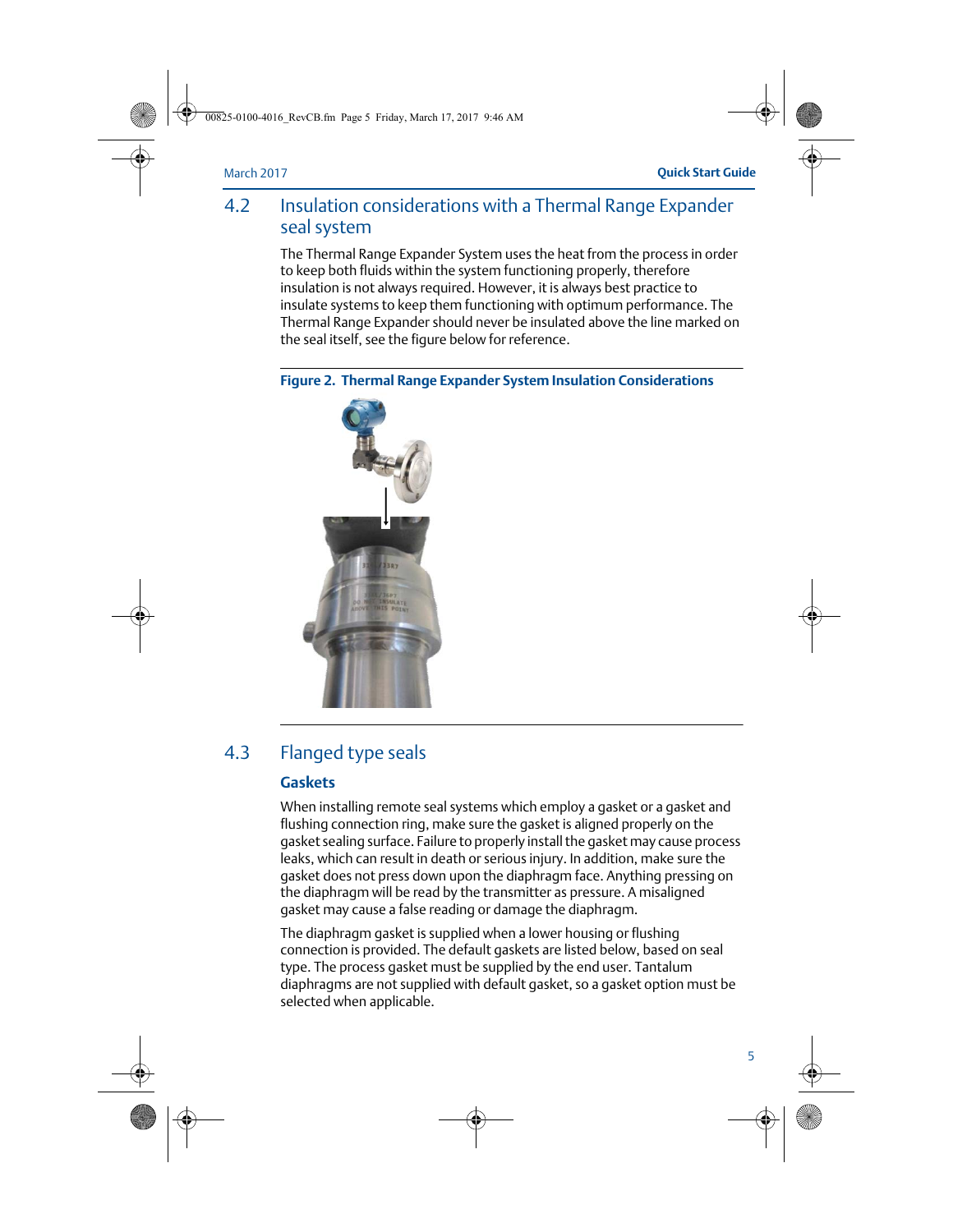### 4.2 Insulation considerations with a Thermal Range Expander seal system

The Thermal Range Expander System uses the heat from the process in order to keep both fluids within the system functioning properly, therefore insulation is not always required. However, it is always best practice to insulate systems to keep them functioning with optimum performance. The Thermal Range Expander should never be insulated above the line marked on the seal itself, see the figure below for reference.





### 4.3 Flanged type seals

#### **Gaskets**

When installing remote seal systems which employ a gasket or a gasket and flushing connection ring, make sure the gasket is aligned properly on the gasket sealing surface. Failure to properly install the gasket may cause process leaks, which can result in death or serious injury. In addition, make sure the gasket does not press down upon the diaphragm face. Anything pressing on the diaphragm will be read by the transmitter as pressure. A misaligned gasket may cause a false reading or damage the diaphragm.

The diaphragm gasket is supplied when a lower housing or flushing connection is provided. The default gaskets are listed below, based on seal type. The process gasket must be supplied by the end user. Tantalum diaphragms are not supplied with default gasket, so a gasket option must be selected when applicable.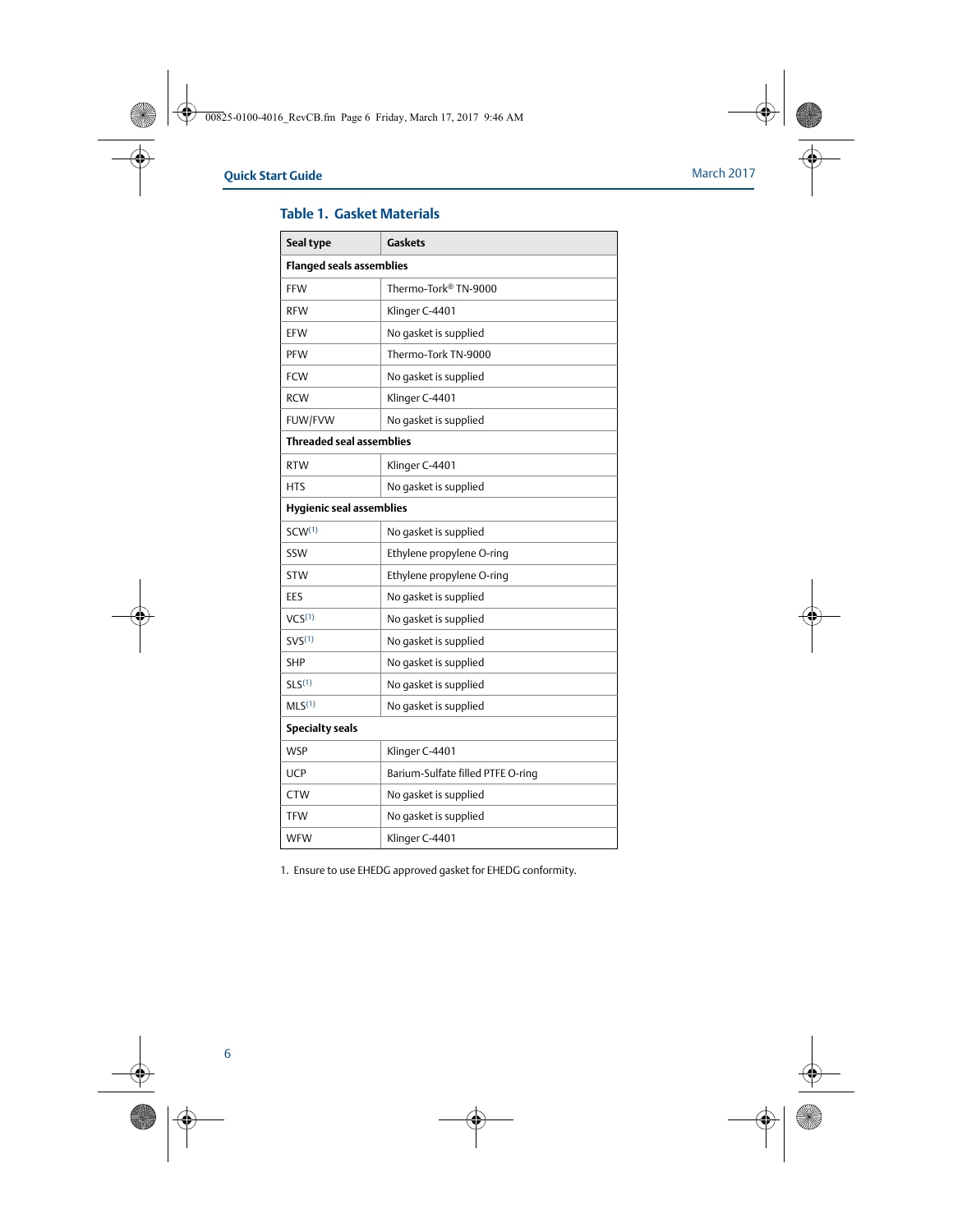| Seal type                       | <b>Gaskets</b>                    |  |
|---------------------------------|-----------------------------------|--|
| <b>Flanged seals assemblies</b> |                                   |  |
| <b>FFW</b>                      | Thermo-Tork® TN-9000              |  |
| <b>RFW</b>                      | Klinger C-4401                    |  |
| EFW                             | No gasket is supplied             |  |
| <b>PFW</b>                      | Thermo-Tork TN-9000               |  |
| <b>FCW</b>                      | No gasket is supplied             |  |
| <b>RCW</b>                      | Klinger C-4401                    |  |
| FUW/FVW                         | No gasket is supplied             |  |
| <b>Threaded seal assemblies</b> |                                   |  |
| <b>RTW</b>                      | Klinger C-4401                    |  |
| HTS                             | No gasket is supplied             |  |
| <b>Hygienic seal assemblies</b> |                                   |  |
| SCW <sup>(1)</sup>              | No gasket is supplied             |  |
| SSW                             | Ethylene propylene O-ring         |  |
| <b>STW</b>                      | Ethylene propylene O-ring         |  |
| EES                             | No gasket is supplied             |  |
| VCS <sup>(1)</sup>              | No gasket is supplied             |  |
| SVS <sup>(1)</sup>              | No gasket is supplied             |  |
| <b>SHP</b>                      | No gasket is supplied             |  |
| SLS <sup>(1)</sup>              | No gasket is supplied             |  |
| MLS <sup>(1)</sup>              | No gasket is supplied             |  |
| <b>Specialty seals</b>          |                                   |  |
| <b>WSP</b>                      | Klinger C-4401                    |  |
| <b>UCP</b>                      | Barium-Sulfate filled PTFE O-ring |  |
| <b>CTW</b>                      | No gasket is supplied             |  |
| <b>TFW</b>                      | No gasket is supplied             |  |
| <b>WFW</b>                      | Klinger C-4401                    |  |

#### **Table 1. Gasket Materials**

<span id="page-5-0"></span>1. Ensure to use EHEDG approved gasket for EHEDG conformity.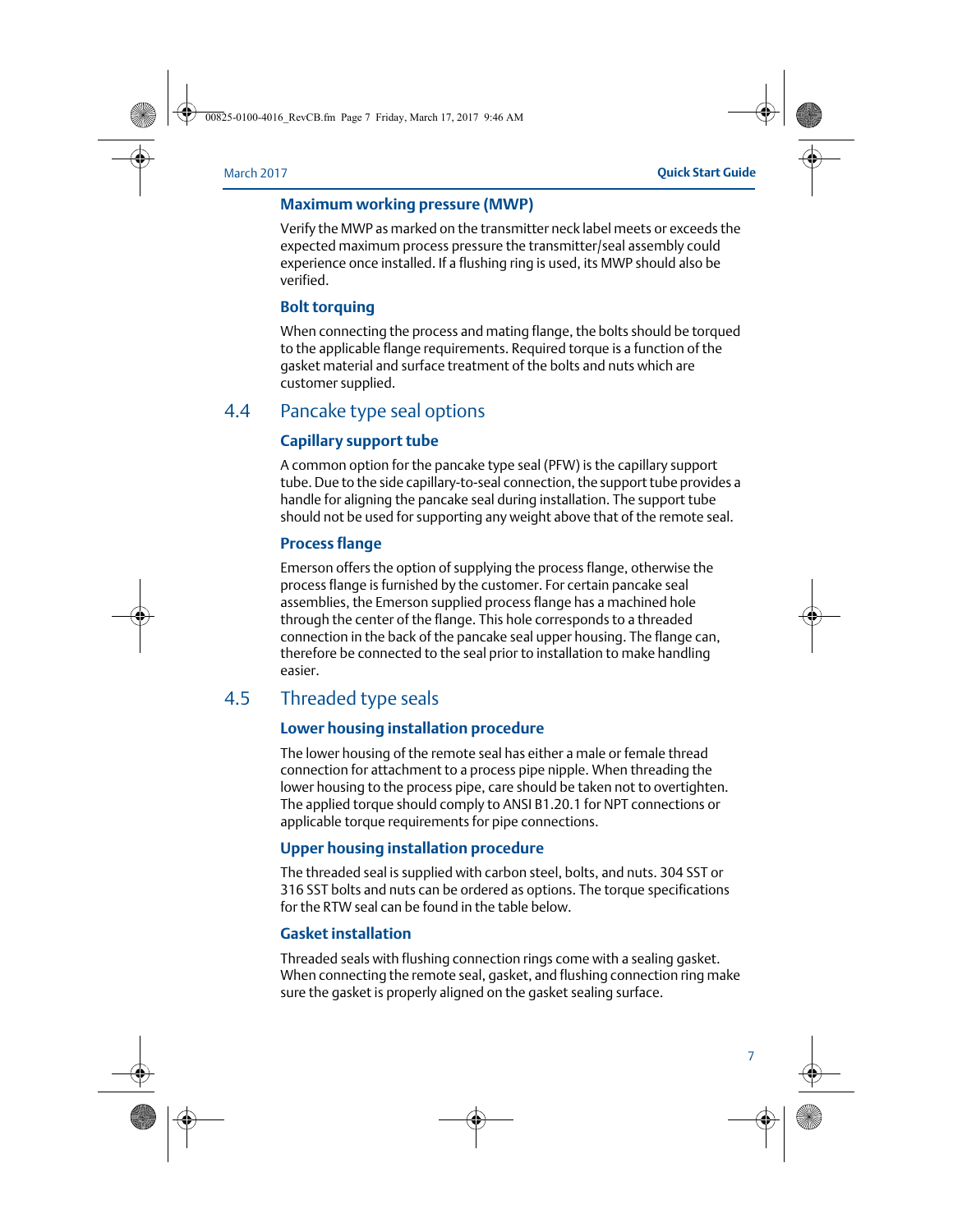#### **Maximum working pressure (MWP)**

Verify the MWP as marked on the transmitter neck label meets or exceeds the expected maximum process pressure the transmitter/seal assembly could experience once installed. If a flushing ring is used, its MWP should also be verified.

#### **Bolt torquing**

When connecting the process and mating flange, the bolts should be torqued to the applicable flange requirements. Required torque is a function of the gasket material and surface treatment of the bolts and nuts which are customer supplied.

### 4.4 Pancake type seal options

#### **Capillary support tube**

A common option for the pancake type seal (PFW) is the capillary support tube. Due to the side capillary-to-seal connection, the support tube provides a handle for aligning the pancake seal during installation. The support tube should not be used for supporting any weight above that of the remote seal.

#### **Process flange**

Emerson offers the option of supplying the process flange, otherwise the process flange is furnished by the customer. For certain pancake seal assemblies, the Emerson supplied process flange has a machined hole through the center of the flange. This hole corresponds to a threaded connection in the back of the pancake seal upper housing. The flange can, therefore be connected to the seal prior to installation to make handling easier.

### 4.5 Threaded type seals

#### **Lower housing installation procedure**

The lower housing of the remote seal has either a male or female thread connection for attachment to a process pipe nipple. When threading the lower housing to the process pipe, care should be taken not to overtighten. The applied torque should comply to ANSI B1.20.1 for NPT connections or applicable torque requirements for pipe connections.

#### **Upper housing installation procedure**

The threaded seal is supplied with carbon steel, bolts, and nuts. 304 SST or 316 SST bolts and nuts can be ordered as options. The torque specifications for the RTW seal can be found in the table below.

#### **Gasket installation**

Threaded seals with flushing connection rings come with a sealing gasket. When connecting the remote seal, gasket, and flushing connection ring make sure the gasket is properly aligned on the gasket sealing surface.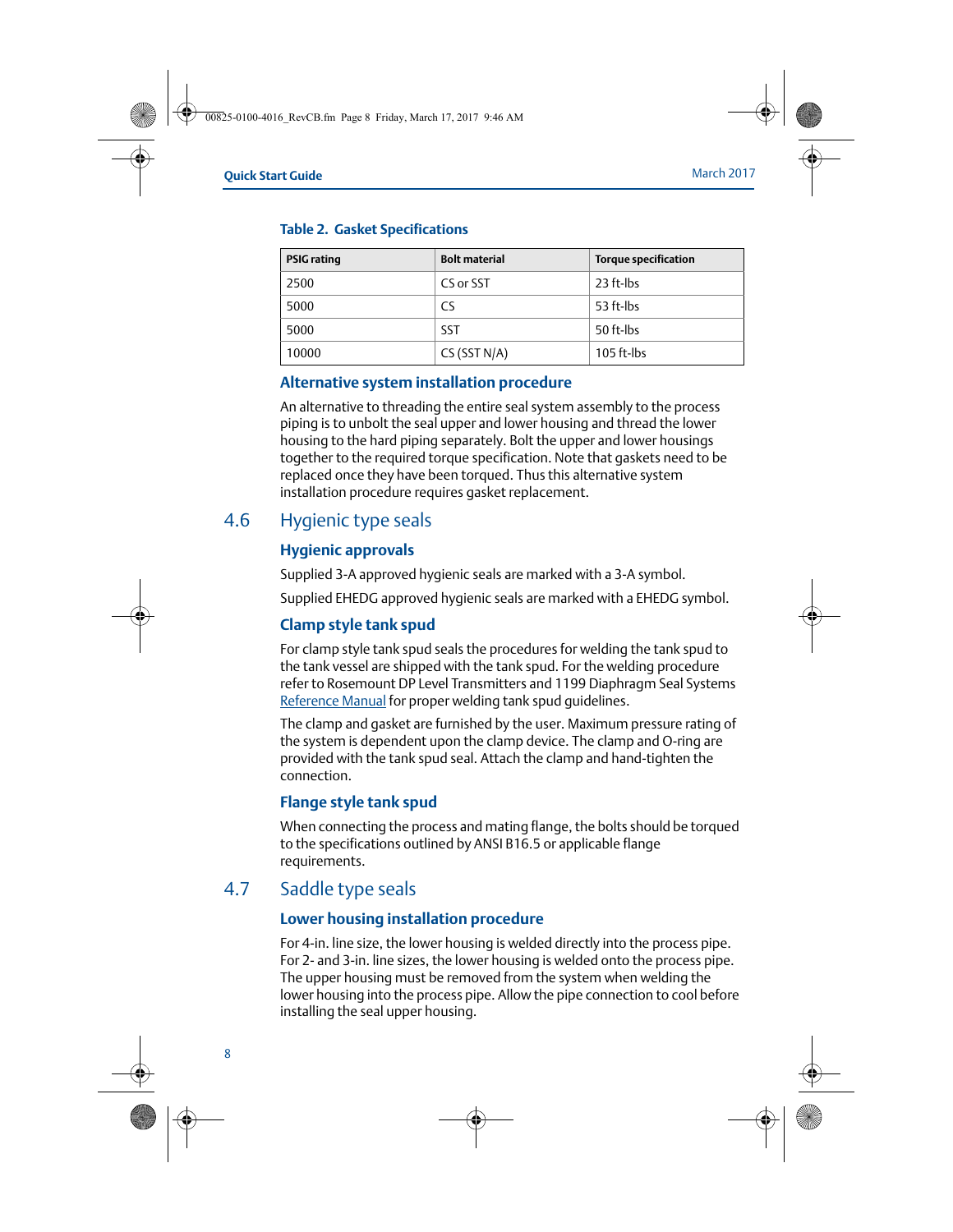| <b>PSIG</b> rating | <b>Bolt material</b> | <b>Torque specification</b> |
|--------------------|----------------------|-----------------------------|
| 2500               | CS or SST            | 23 ft-lbs                   |
| 5000               | CS                   | 53 ft-lbs                   |
| 5000               | <b>SST</b>           | 50 ft-lbs                   |
| 10000              | CS(SST N/A)          | $105$ ft-lbs                |

#### **Table 2. Gasket Specifications**

#### **Alternative system installation procedure**

An alternative to threading the entire seal system assembly to the process piping is to unbolt the seal upper and lower housing and thread the lower housing to the hard piping separately. Bolt the upper and lower housings together to the required torque specification. Note that gaskets need to be replaced once they have been torqued. Thus this alternative system installation procedure requires gasket replacement.

## 4.6 Hygienic type seals

#### **Hygienic approvals**

Supplied 3-A approved hygienic seals are marked with a 3-A symbol.

Supplied EHEDG approved hygienic seals are marked with a EHEDG symbol.

#### **Clamp style tank spud**

For clamp style tank spud seals the procedures for welding the tank spud to the tank vessel are shipped with the tank spud. For the welding procedure refer to Rosemount DP Level Transmitters and 1199 Diaphragm Seal Systems [Reference Manual](http://www2.emersonprocess.com/siteadmincenter/PM%20Rosemount%20Documents/00809-0100-4002.pdf) for proper welding tank spud guidelines.

The clamp and gasket are furnished by the user. Maximum pressure rating of the system is dependent upon the clamp device. The clamp and O-ring are provided with the tank spud seal. Attach the clamp and hand-tighten the connection.

### **Flange style tank spud**

When connecting the process and mating flange, the bolts should be torqued to the specifications outlined by ANSI B16.5 or applicable flange requirements.

### 4.7 Saddle type seals

### **Lower housing installation procedure**

For 4-in. line size, the lower housing is welded directly into the process pipe. For 2- and 3-in. line sizes, the lower housing is welded onto the process pipe. The upper housing must be removed from the system when welding the lower housing into the process pipe. Allow the pipe connection to cool before installing the seal upper housing.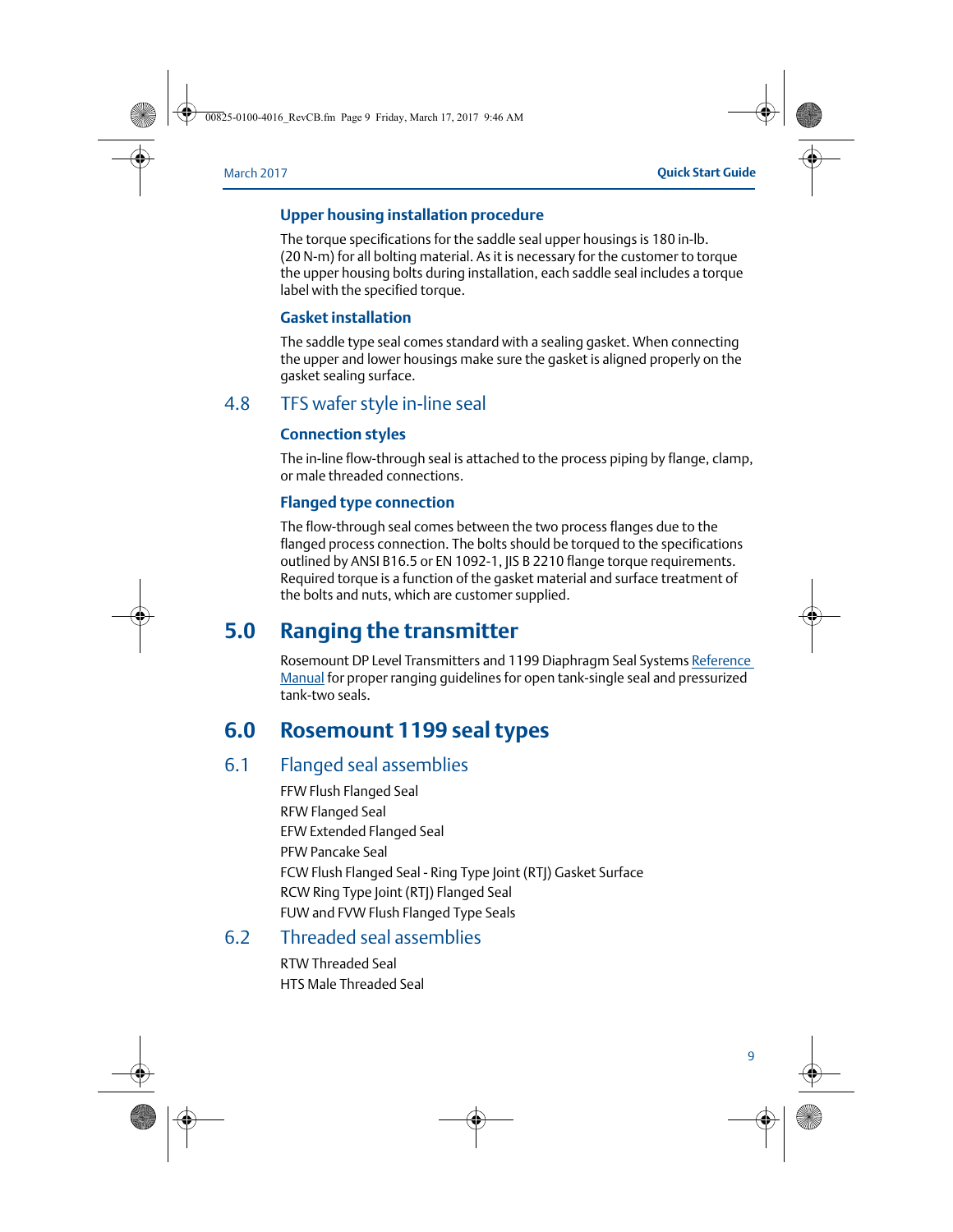#### **Upper housing installation procedure**

The torque specifications for the saddle seal upper housings is 180 in-lb. (20 N-m) for all bolting material. As it is necessary for the customer to torque the upper housing bolts during installation, each saddle seal includes a torque label with the specified torque.

#### **Gasket installation**

The saddle type seal comes standard with a sealing gasket. When connecting the upper and lower housings make sure the gasket is aligned properly on the gasket sealing surface.

### 4.8 TFS wafer style in-line seal

#### **Connection styles**

The in-line flow-through seal is attached to the process piping by flange, clamp, or male threaded connections.

#### **Flanged type connection**

The flow-through seal comes between the two process flanges due to the flanged process connection. The bolts should be torqued to the specifications outlined by ANSI B16.5 or EN 1092-1, JIS B 2210 flange torque requirements. Required torque is a function of the gasket material and surface treatment of the bolts and nuts, which are customer supplied.

## <span id="page-8-0"></span>**5.0 Ranging the transmitter**

Rosemount DP Level Transmitters and 1199 Diaphragm Seal Systems [Reference](http://www2.emersonprocess.com/siteadmincenter/PM%20Rosemount%20Documents/00809-0100-4002.pdf)  [Manual](http://www2.emersonprocess.com/siteadmincenter/PM%20Rosemount%20Documents/00809-0100-4002.pdf) for proper ranging guidelines for open tank-single seal and pressurized tank-two seals.

## <span id="page-8-1"></span>**6.0 Rosemount 1199 seal types**

### 6.1 Flanged seal assemblies

FFW Flush Flanged Seal RFW Flanged Seal EFW Extended Flanged Seal PFW Pancake Seal FCW Flush Flanged Seal - Ring Type Joint (RTJ) Gasket Surface RCW Ring Type Joint (RTJ) Flanged Seal FUW and FVW Flush Flanged Type Seals

### 6.2 Threaded seal assemblies

RTW Threaded Seal HTS Male Threaded Seal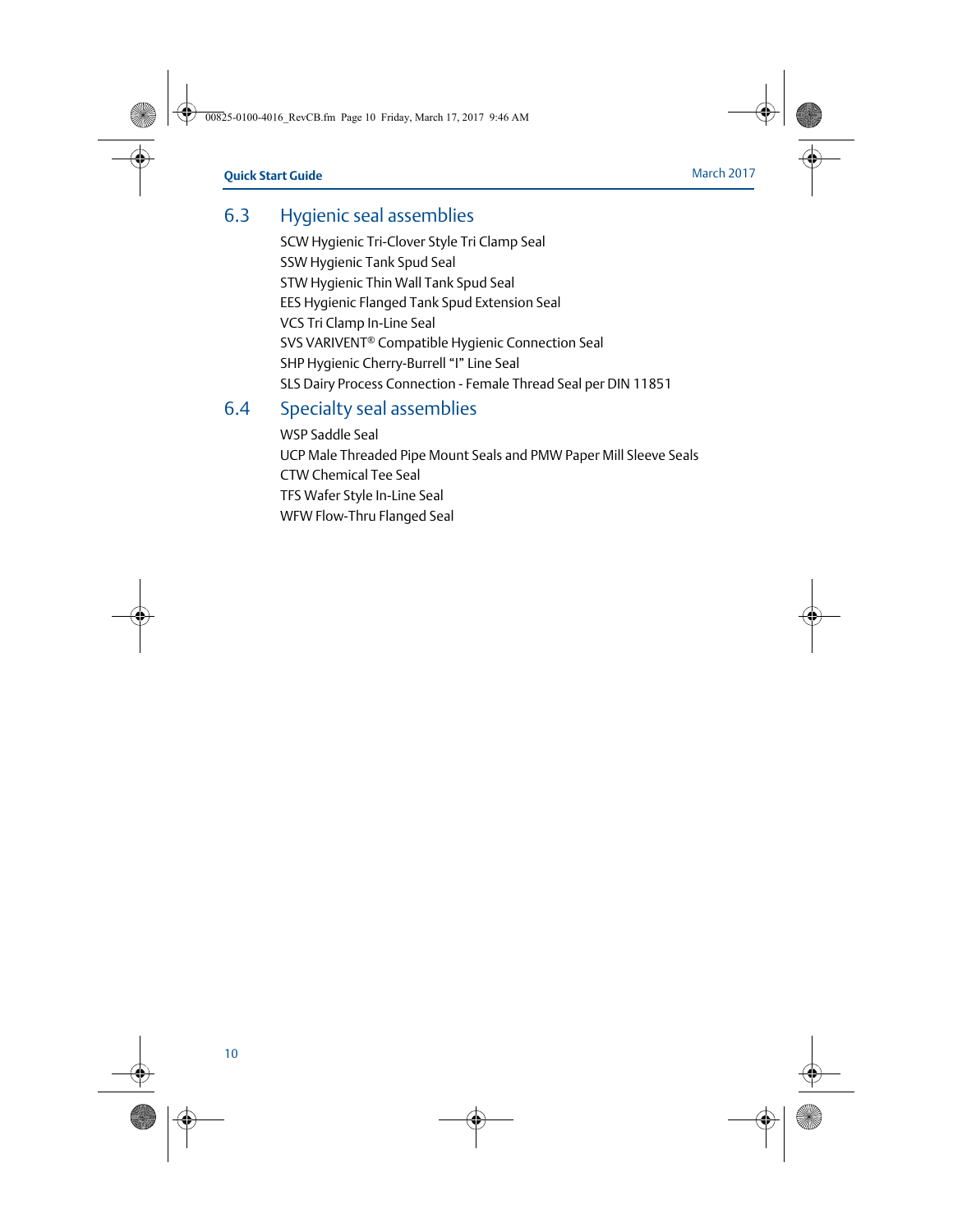## 6.3 Hygienic seal assemblies

SCW Hygienic Tri-Clover Style Tri Clamp Seal SSW Hygienic Tank Spud Seal STW Hygienic Thin Wall Tank Spud Seal EES Hygienic Flanged Tank Spud Extension Seal VCS Tri Clamp In-Line Seal SVS VARIVENT® Compatible Hygienic Connection Seal SHP Hygienic Cherry-Burrell "I" Line Seal SLS Dairy Process Connection - Female Thread Seal per DIN 11851

### 6.4 Specialty seal assemblies

WSP Saddle Seal UCP Male Threaded Pipe Mount Seals and PMW Paper Mill Sleeve Seals CTW Chemical Tee Seal TFS Wafer Style In-Line Seal WFW Flow-Thru Flanged Seal